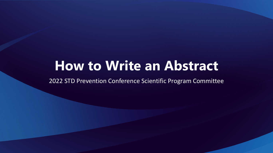# **How to Write an Abstract**

2022 STD Prevention Conference Scientific Program Committee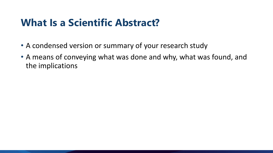### **What Is a Scientific Abstract?**

- A condensed version or summary of your research study
- A means of conveying what was done and why, what was found, and the implications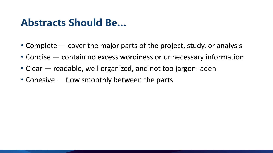### **Abstracts Should Be…**

- Complete cover the major parts of the project, study, or analysis
- Concise contain no excess wordiness or unnecessary information
- Clear readable, well organized, and not too jargon-laden
- Cohesive flow smoothly between the parts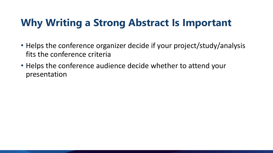## **Why Writing a Strong Abstract Is Important**

- Helps the conference organizer decide if your project/study/analysis fits the conference criteria
- Helps the conference audience decide whether to attend your presentation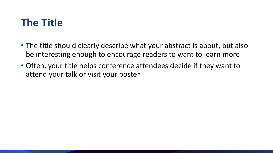## **The Title**

- The title should clearly describe what your abstract is about, but also be interesting enough to encourage readers to want to learn more
- Often, your title helps conference attendees decide if they want to attend your talk or visit your poster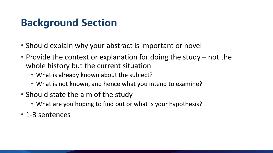## **Background Section**

- Should explain why your abstract is important or novel
- Provide the context or explanation for doing the study not the whole history but the current situation
	- What is already known about the subject?
	- What is not known, and hence what you intend to examine?
- Should state the aim of the study
	- What are you hoping to find out or what is your hypothesis?
- 1-3 sentences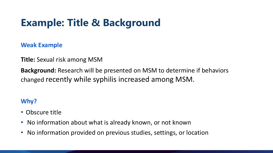## **Example: Title & Background**

**Weak Example**

**Title:** Sexual risk among MSM

**Background:** Research will be presented on MSM to determine if behaviors changed recently while syphilis increased among MSM.

#### **Why?**

- Obscure title
- No information about what is already known, or not known
- No information provided on previous studies, settings, or location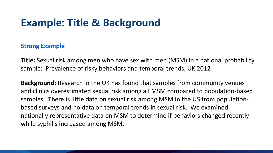## **Example: Title & Background**

#### **Strong Example**

**Title:** Sexual risk among men who have sex with men (MSM) in a national probability sample: Prevalence of risky behaviors and temporal trends, UK 2012

**Background:** Research in the UK has found that samples from community venues and clinics overestimated sexual risk among all MSM compared to population-based samples. There is little data on sexual risk among MSM in the US from populationbased surveys and no data on temporal trends in sexual risk. We examined nationally representative data on MSM to determine if behaviors changed recently while syphilis increased among MSM.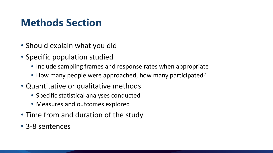## **Methods Section**

- Should explain what you did
- Specific population studied
	- Include sampling frames and response rates when appropriate
	- How many people were approached, how many participated?
- Quantitative or qualitative methods
	- Specific statistical analyses conducted
	- Measures and outcomes explored
- Time from and duration of the study
- 3-8 sentences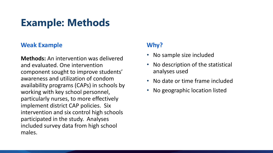## **Example: Methods**

#### **Weak Example**

**Methods:** An intervention was delivered and evaluated. One intervention component sought to improve students' awareness and utilization of condom availability programs (CAPs) in schools by working with key school personnel, particularly nurses, to more effectively implement district CAP policies. Six intervention and six control high schools participated in the study. Analyses included survey data from high school males.

#### **Why?**

- No sample size included
- No description of the statistical analyses used
- No date or time frame included
- No geographic location listed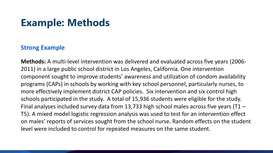### **Example: Methods**

#### **Strong Example**

**Methods:** A multi-level intervention was delivered and evaluated across five years (2006- 2011) in a large public school district in Los Angeles, California. One intervention component sought to improve students' awareness and utilization of condom availability programs (CAPs) in schools by working with key school personnel, particularly nurses, to more effectively implement district CAP policies. Six intervention and six control high schools participated in the study. A total of 15,936 students were eligible for the study. Final analyses included survey data from 13,733 high school males across five years (T1 – T5). A mixed model logistic regression analysis was used to test for an intervention effect on males' reports of services sought from the school nurse. Random effects on the student level were included to control for repeated measures on the same student.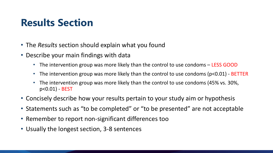### **Results Section**

- The *Results* section should explain what you found
- Describe your main findings with data
	- The intervention group was more likely than the control to use condoms LESS GOOD
	- The intervention group was more likely than the control to use condoms (p<0.01) BETTER
	- The intervention group was more likely than the control to use condoms (45% vs. 30%, p<0.01) - BEST
- Concisely describe how your results pertain to your study aim or hypothesis
- Statements such as "to be completed" or "to be presented" are not acceptable
- Remember to report non-significant differences too
- Usually the longest section, 3-8 sentences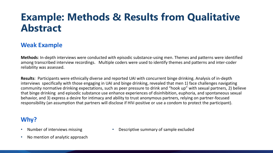### **Example: Methods & Results from Qualitative Abstract**

#### **Weak Example**

**Methods**: In-depth interviews were conducted with episodic substance-using men. Themes and patterns were identified among transcribed interview recordings. Multiple coders were used to identify themes and patterns and inter-coder reliability was assessed.

**Results**: Participants were ethnically diverse and reported UAI with concurrent binge drinking. Analysis of in-depth interviews specifically with those engaging in UAI and binge drinking, revealed that men 1) face challenges navigating community normative drinking expectations, such as peer pressure to drink and "hook up" with sexual partners, 2) believe that binge drinking and episodic substance use enhance experiences of disinhibition, euphoria, and spontaneous sexual behavior, and 3) express a desire for intimacy and ability to trust anonymous partners, relying on partner-focused responsibility (an assumption that partners will disclose if HIV-positive or use a condom to protect the participant).

#### **Why?**

- Number of interviews missing
- No mention of analytic approach

• Descriptive summary of sample excluded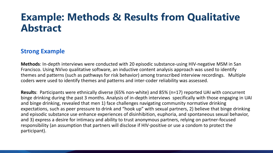### **Example: Methods & Results from Qualitative Abstract**

#### **Strong Example**

**Methods**: In-depth interviews were conducted with 20 episodic substance-using HIV-negative MSM in San Francisco. Using NVivo qualitative software, an inductive content analysis approach was used to identify themes and patterns (such as pathways for risk behavior) among transcribed interview recordings. Multiple coders were used to identify themes and patterns and inter-coder reliability was assessed.

**Results**: Participants were ethnically diverse (65% non-white) and 85% (n=17) reported UAI with concurrent binge drinking during the past 3 months. Analysis of in-depth interviews specifically with those engaging in UAI and binge drinking, revealed that men 1) face challenges navigating community normative drinking expectations, such as peer pressure to drink and "hook up" with sexual partners, 2) believe that binge drinking and episodic substance use enhance experiences of disinhibition, euphoria, and spontaneous sexual behavior, and 3) express a desire for intimacy and ability to trust anonymous partners, relying on partner-focused responsibility (an assumption that partners will disclose if HIV-positive or use a condom to protect the participant).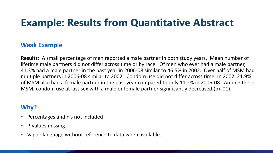## **Example: Results from Quantitative Abstract**

#### **Weak Example**

**Results**: A small percentage of men reported a male partner in both study years. Mean number of lifetime male partners did not differ across time or by race. Of men who ever had a male partner, 41.3% had a male partner in the past year in 2006-08 similar to 46.5% in 2002. Over half of MSM had multiple partners in 2006-08 similar to 2002. Condom use did not differ across time. In 2002, 21.9% of MSM also had a female partner in the past year compared to only 11.2% in 2006-08. Among these MSM, condom use at last sex with a male or female partner significantly decreased (p<.01).

#### **Why?**

- Percentages and n's not included
- P-values missing
- Vague language without reference to data when available.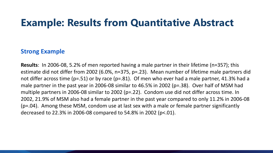#### **Example: Results from Quantitative Abstract**

#### **Strong Example**

**Results**: In 2006-08, 5.2% of men reported having a male partner in their lifetime (n=357); this estimate did not differ from 2002 (6.0%, n=375, p=.23). Mean number of lifetime male partners did not differ across time (p=.51) or by race (p=.81). Of men who ever had a male partner, 41.3% had a male partner in the past year in 2006-08 similar to 46.5% in 2002 (p=.38). Over half of MSM had multiple partners in 2006-08 similar to 2002 (p=.22). Condom use did not differ across time. In 2002, 21.9% of MSM also had a female partner in the past year compared to only 11.2% in 2006-08 (p=.04). Among these MSM, condom use at last sex with a male or female partner significantly decreased to 22.3% in 2006-08 compared to 54.8% in 2002 (p<.01).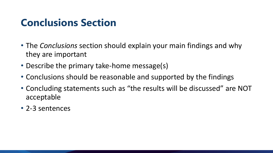### **Conclusions Section**

- The *Conclusions* section should explain your main findings and why they are important
- Describe the primary take-home message(s)
- Conclusions should be reasonable and supported by the findings
- Concluding statements such as "the results will be discussed" are NOT acceptable
- 2-3 sentences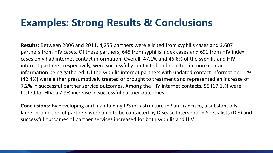### **Examples: Strong Results & Conclusions**

**Results:** Between 2006 and 2011, 4,255 partners were elicited from syphilis cases and 3,607 partners from HIV cases. Of these partners, 645 from syphilis index cases and 691 from HIV index cases only had internet contact information. Overall, 47.1% and 46.6% of the syphilis and HIV internet partners, respectively, were successfully contacted and resulted in more contact information being gathered. Of the syphilis internet partners with updated contact information, 129 (42.4%) were either presumptively treated or brought to treatment and represented an increase of 7.2% in successful partner service outcomes. Among the HIV internet contacts, 55 (17.1%) were tested for HIV; a 7.9% increase in successful partner outcomes.

**Conclusions:** By developing and maintaining IPS infrastructure in San Francisco, a substantially larger proportion of partners were able to be contacted by Disease Intervention Specialists (DIS) and successful outcomes of partner services increased for both syphilis and HIV.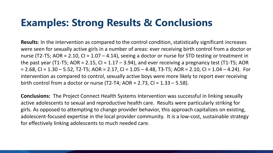## **Examples: Strong Results & Conclusions**

**Results**: In the intervention as compared to the control condition, statistically significant increases were seen for sexually active girls in a number of areas: ever receiving birth control from a doctor or nurse (T2-T5; AOR = 2.10, CI =  $1.07 - 4.14$ ), seeing a doctor or nurse for STD testing or treatment in the past year (T1-T5; AOR = 2.15, CI =  $1.17 - 3.94$ ), and ever receiving a pregnancy test (T1-T5; AOR  $= 2.68$ , CI = 1.30 – 5.52, T2-T5; AOR = 2.17, CI = 1.05 – 4.48, T3-T5; AOR = 2.10, CI = 1.04 – 4.24). For intervention as compared to control, sexually active boys were more likely to report ever receiving birth control from a doctor or nurse (T2-T4; AOR = 2.73, CI =  $1.33 - 5.58$ ).

**Conclusions:** The Project Connect Health Systems Intervention was successful in linking sexually active adolescents to sexual and reproductive health care. Results were particularly striking for girls. As opposed to attempting to change provider behavior, this approach capitalizes on existing, adolescent-focused expertise in the local provider community. It is a low-cost, sustainable strategy for effectively linking adolescents to much needed care.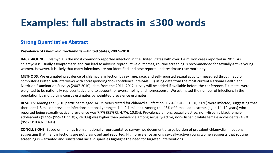### **Examples: full abstracts in**  $\leq$ **300 words**

#### **Strong Quantitative Abstract**

#### **Prevalence of** *Chlamydia trachomatis* **—United States, 2007–2010**

**BACKGROUND**: Chlamydia is the most commonly reported infection in the United States with over 1.4 million cases reported in 2011. As chlamydia is usually asymptomatic and can lead to adverse reproductive outcomes, routine screening is recommended for sexually-active young women. However, it is likely that many infections are not identified and case reports underestimate true morbidity.

**METHODS**: We estimated prevalence of chlamydial infection by sex, age, race, and self-reported sexual activity (measured through audio computer-assisted self-interview) with corresponding 95% confidence intervals (CI) using data from the most current National Health and Nutrition Examination Surveys (2007-2010); data from the 2011–2012 survey will be added if available before the conference. Estimates were weighted to be nationally representative and to account for oversampling and nonresponse. We estimated the number of infections in the population by multiplying census estimates by weighted prevalence estimates.

**RESULTS**: Among the 5,610 participants aged 14–39 years tested for chlamydial infection, 1.7% (95% CI: 1.3%, 2.0%) were infected, suggesting that there are 1.8 million prevalent infections nationally (range: 1.4–2.1 million). Among the 48% of female adolescents (aged 14–19 years) who reported being sexually-active, prevalence was 7.7% (95% CI: 4.7%, 10.8%). Prevalence among sexually-active, non-Hispanic black female adolescents (17.5% (95% CI: 11.0%, 24.0%)) was higher than prevalence among sexually-active, non-Hispanic white female adolescents (4.9% (95% CI: 0.4%, 9.4%)).

**CONCLUSIONS**: Based on findings from a nationally-representative survey, we document a large burden of prevalent chlamydial infections suggesting that many infections are not diagnosed and reported. High prevalence among sexually-active young women suggests that routine screening is warranted and substantial racial disparities highlight the need for targeted interventions.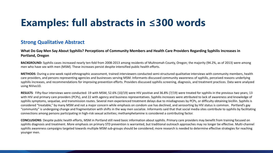## **Examples: full abstracts in**  $\leq$ **300 words**

#### **Strong Qualitative Abstract**

**What Do Gay Men Say About Syphilis? Perceptions of Community Members and Health Care Providers Regarding Syphilis Increases in Portland, Oregon**

**BACKGROUND:** Syphilis cases increased nearly ten-fold from 2008-2013 among residents of Multnomah County, Oregon; the majority (94.2%, as of 2013) were among men who have sex with men (MSM). These increases persist despite intensified public health efforts.

**METHODS**: During a one-week rapid ethnographic assessment, trained interviewers conducted semi-structured qualitative interviews with community members, health care providers, and persons representing agencies and businesses serving MSM. Informants discussed community awareness of syphilis, perceived reasons underlying syphilis increases, and recommendations for improving prevention efforts. Providers discussed syphilis screening, diagnosis, and treatment practices. Data were analyzed using NVivo10.

**RESULTS**: Fifty-four interviews were conducted: 19 with MSM, 52.6% (10/19) were HIV positive and 36.8% (7/19) were treated for syphilis in the previous two years; 13 with HIV and primary care providers (PCPs), and 22 with agency and business representatives. Syphilis increases were attributed to lack of awareness and knowledge of syphilis symptoms, sequelae, and transmission routes. Several men experienced treatment delays due to misdiagnoses by PCPs, or difficulty obtaining bicillin. Syphilis is considered "treatable," by many MSM and not a major concern while emphasis on condom use has declined, and serosorting by HIV status is common. Portland's gay "community" is undergoing change and fragmentation with shifts in the way men socialize. Informants said that that social media sites contribute to syphilis by facilitating connections among persons participating in high-risk sexual activities; methamphetamine is considered a contributing factor.

**CONCLUSIONS**: Despite public health efforts, MSM in Portland still need basic information about syphilis. Primary care providers may benefit from training focused on syphilis diagnosis and treatment. More emphasis on primary STD prevention is warranted, but traditional outreach approaches may no longer be effective. Multi-channel syphilis awareness campaigns targeted towards multiple MSM sub-groups should be considered; more research is needed to determine effective strategies for reaching younger men.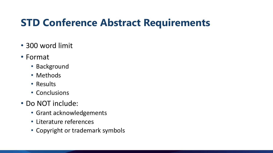## **STD Conference Abstract Requirements**

- 300 word limit
- Format
	- Background
	- Methods
	- Results
	- Conclusions
- Do NOT include:
	- Grant acknowledgements
	- Literature references
	- Copyright or trademark symbols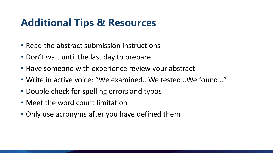## **Additional Tips & Resources**

- Read the abstract submission instructions
- Don't wait until the last day to prepare
- Have someone with experience review your abstract
- Write in active voice: "We examined…We tested…We found…"
- Double check for spelling errors and typos
- Meet the word count limitation
- Only use acronyms after you have defined them